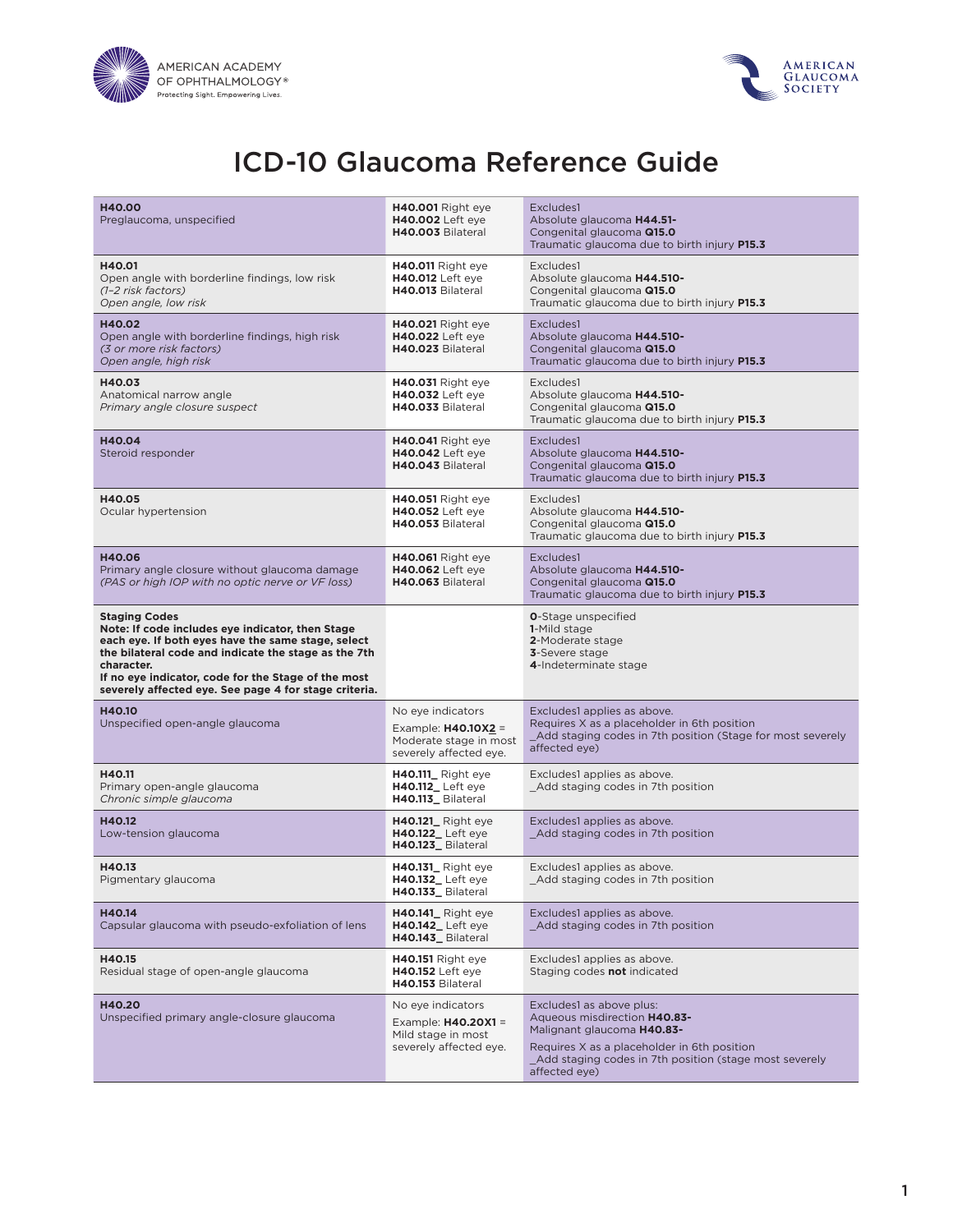



# ICD-10 Glaucoma Reference Guide

| <b>H40.00</b><br>Preglaucoma, unspecified                                                                                                                                                                                                                                                                            | <b>H40.001</b> Right eye<br><b>H40.002</b> Left eye<br>H40.003 Bilateral                       | Excludes1<br>Absolute glaucoma H44.51-<br>Congenital glaucoma Q15.0<br>Traumatic glaucoma due to birth injury P15.3                                                                                              |
|----------------------------------------------------------------------------------------------------------------------------------------------------------------------------------------------------------------------------------------------------------------------------------------------------------------------|------------------------------------------------------------------------------------------------|------------------------------------------------------------------------------------------------------------------------------------------------------------------------------------------------------------------|
| H40.01<br>Open angle with borderline findings, low risk<br>(1-2 risk factors)<br>Open angle, low risk                                                                                                                                                                                                                | H40.011 Right eye<br><b>H40.012</b> Left eye<br>H40.013 Bilateral                              | Excludes1<br>Absolute glaucoma H44.510-<br>Congenital glaucoma Q15.0<br>Traumatic glaucoma due to birth injury P15.3                                                                                             |
| H40.02<br>Open angle with borderline findings, high risk<br>(3 or more risk factors)<br>Open angle, high risk                                                                                                                                                                                                        | <b>H40.021</b> Right eye<br><b>H40.022</b> Left eye<br>H40.023 Bilateral                       | Excludes1<br>Absolute glaucoma H44.510-<br>Congenital glaucoma Q15.0<br>Traumatic glaucoma due to birth injury P15.3                                                                                             |
| H40.03<br>Anatomical narrow angle<br>Primary angle closure suspect                                                                                                                                                                                                                                                   | <b>H40.031</b> Right eye<br><b>H40.032</b> Left eye<br>H40.033 Bilateral                       | Excludes1<br>Absolute glaucoma H44.510-<br>Congenital glaucoma Q15.0<br>Traumatic glaucoma due to birth injury P15.3                                                                                             |
| H40.04<br>Steroid responder                                                                                                                                                                                                                                                                                          | <b>H40.041</b> Right eye<br><b>H40.042</b> Left eye<br>H40.043 Bilateral                       | Excludes1<br>Absolute glaucoma H44.510-<br>Congenital glaucoma Q15.0<br>Traumatic glaucoma due to birth injury P15.3                                                                                             |
| H40.05<br>Ocular hypertension                                                                                                                                                                                                                                                                                        | <b>H40.051</b> Right eye<br><b>H40.052</b> Left eye<br>H40.053 Bilateral                       | Excludes1<br>Absolute glaucoma H44.510-<br>Congenital glaucoma Q15.0<br>Traumatic glaucoma due to birth injury P15.3                                                                                             |
| H40.06<br>Primary angle closure without glaucoma damage<br>(PAS or high IOP with no optic nerve or VF loss)                                                                                                                                                                                                          | <b>H40.061</b> Right eye<br><b>H40.062</b> Left eye<br>H40.063 Bilateral                       | Excludes1<br>Absolute glaucoma H44.510-<br>Congenital glaucoma Q15.0<br>Traumatic glaucoma due to birth injury P15.3                                                                                             |
| <b>Staging Codes</b><br>Note: If code includes eye indicator, then Stage<br>each eye. If both eyes have the same stage, select<br>the bilateral code and indicate the stage as the 7th<br>character.<br>If no eye indicator, code for the Stage of the most<br>severely affected eye. See page 4 for stage criteria. |                                                                                                | <b>0</b> -Stage unspecified<br>1-Mild stage<br>2-Moderate stage<br>3-Severe stage<br>4-Indeterminate stage                                                                                                       |
| H40.10<br>Unspecified open-angle glaucoma                                                                                                                                                                                                                                                                            | No eye indicators<br>Example: $H40.10X2 =$<br>Moderate stage in most<br>severely affected eye. | Excludes1 applies as above.<br>Requires X as a placeholder in 6th position<br>Add staging codes in 7th position (Stage for most severely<br>affected eye)                                                        |
| H40.11<br>Primary open-angle glaucoma<br>Chronic simple glaucoma                                                                                                                                                                                                                                                     | <b>H40.111_</b> Right eye<br><b>H40.112_Left eye</b><br>H40.113_Bilateral                      | Excludes1 applies as above.<br>_Add staging codes in 7th position                                                                                                                                                |
| H40.12<br>Low-tension glaucoma                                                                                                                                                                                                                                                                                       | <b>H40.121_</b> Right eye<br><b>H40.122_Left eye</b><br>H40.123_Bilateral                      | Excludes1 applies as above.<br>Add staging codes in 7th position                                                                                                                                                 |
| H40.13<br>Pigmentary glaucoma                                                                                                                                                                                                                                                                                        | <b>H40.131_</b> Right eye<br>H40.132_Left eye<br>H40.133_Bilateral                             | Excludes1 applies as above.<br>Add staging codes in 7th position                                                                                                                                                 |
| H40.14<br>Capsular glaucoma with pseudo-exfoliation of lens                                                                                                                                                                                                                                                          | <b>H40.141_ Right eye</b><br>H40.142_Left eye<br>H40.143_Bilateral                             | Excludes1 applies as above.<br>Add staging codes in 7th position                                                                                                                                                 |
| H40.15<br>Residual stage of open-angle glaucoma                                                                                                                                                                                                                                                                      | H40.151 Right eye<br><b>H40.152</b> Left eye<br>H40.153 Bilateral                              | Excludes1 applies as above.<br>Staging codes not indicated                                                                                                                                                       |
| H40.20<br>Unspecified primary angle-closure glaucoma                                                                                                                                                                                                                                                                 | No eye indicators<br>Example: $H40.20X1 =$<br>Mild stage in most<br>severely affected eye.     | Excludes1 as above plus:<br>Aqueous misdirection H40.83-<br>Malignant glaucoma H40.83-<br>Requires X as a placeholder in 6th position<br>Add staging codes in 7th position (stage most severely<br>affected eye) |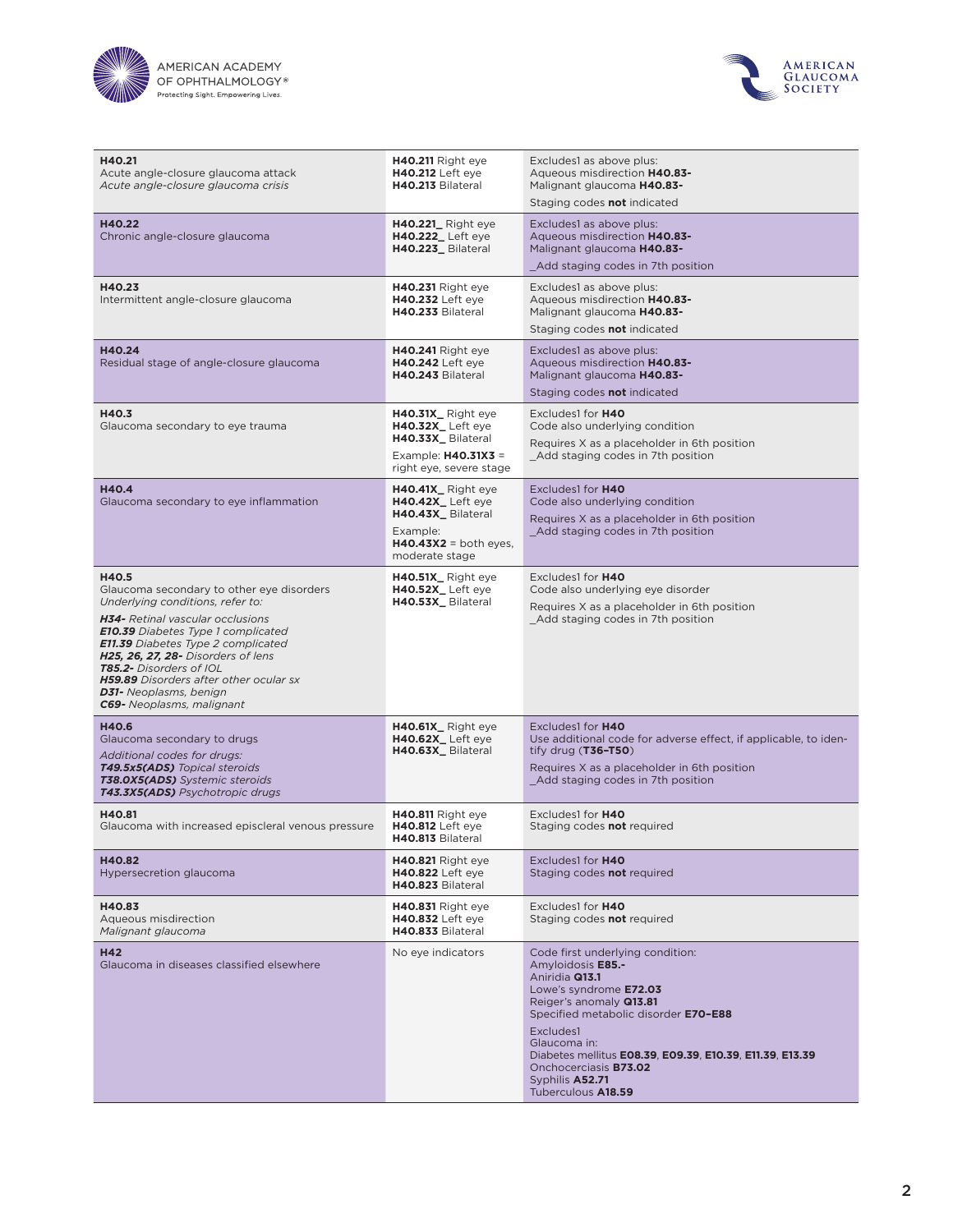



| H40.21<br>Acute angle-closure glaucoma attack<br>Acute angle-closure glaucoma crisis                                                                                                                                                                                                                                                                                                          | H40.211 Right eye<br><b>H40.212</b> Left eye<br>H40.213 Bilateral                                                          | Excludes1 as above plus:<br>Aqueous misdirection H40.83-<br>Malignant glaucoma H40.83-<br>Staging codes not indicated                                                                                                                                                                                                                  |
|-----------------------------------------------------------------------------------------------------------------------------------------------------------------------------------------------------------------------------------------------------------------------------------------------------------------------------------------------------------------------------------------------|----------------------------------------------------------------------------------------------------------------------------|----------------------------------------------------------------------------------------------------------------------------------------------------------------------------------------------------------------------------------------------------------------------------------------------------------------------------------------|
| H40.22<br>Chronic angle-closure glaucoma                                                                                                                                                                                                                                                                                                                                                      | <b>H40.221_</b> Right eye<br><b>H40.222_Left eye</b><br>H40.223_Bilateral                                                  | Excludes1 as above plus:<br>Aqueous misdirection H40.83-<br>Malignant glaucoma H40.83-<br>Add staging codes in 7th position                                                                                                                                                                                                            |
| H40.23<br>Intermittent angle-closure glaucoma                                                                                                                                                                                                                                                                                                                                                 | <b>H40.231</b> Right eye<br><b>H40.232</b> Left eye<br>H40.233 Bilateral                                                   | Excludes1 as above plus:<br>Aqueous misdirection H40.83-<br>Malignant glaucoma H40.83-<br>Staging codes not indicated                                                                                                                                                                                                                  |
| H40.24<br>Residual stage of angle-closure glaucoma                                                                                                                                                                                                                                                                                                                                            | H40.241 Right eye<br><b>H40.242</b> Left eye<br>H40.243 Bilateral                                                          | Excludes1 as above plus:<br>Aqueous misdirection H40.83-<br>Malignant glaucoma H40.83-<br>Staging codes <b>not</b> indicated                                                                                                                                                                                                           |
| H40.3<br>Glaucoma secondary to eye trauma                                                                                                                                                                                                                                                                                                                                                     | H40.31X_Right eye<br><b>H40.32X_Left eye</b><br>H40.33X_Bilateral<br>Example: $H40.31X3 =$<br>right eye, severe stage      | Excludes1 for H40<br>Code also underlying condition<br>Requires X as a placeholder in 6th position<br>Add staging codes in 7th position                                                                                                                                                                                                |
| H40.4<br>Glaucoma secondary to eye inflammation                                                                                                                                                                                                                                                                                                                                               | <b>H40.41X_Right eye</b><br>H40.42X_Left eye<br>H40.43X_Bilateral<br>Example:<br>$H40.43X2 =$ both eyes,<br>moderate stage | Excludes1 for H40<br>Code also underlying condition<br>Requires X as a placeholder in 6th position<br>Add staging codes in 7th position                                                                                                                                                                                                |
| H40.5<br>Glaucoma secondary to other eye disorders<br>Underlying conditions, refer to:<br>H34- Retinal vascular occlusions<br><b>E10.39</b> Diabetes Type 1 complicated<br><b>E11.39</b> Diabetes Type 2 complicated<br>H25, 26, 27, 28- Disorders of lens<br>T85.2- Disorders of IOL<br>H59.89 Disorders after other ocular sx<br><b>D31-</b> Neoplasms, benign<br>C69- Neoplasms, malignant | H40.51X_Right eye<br><b>H40.52X_Left eye</b><br>H40.53X_Bilateral                                                          | Excludes1 for H40<br>Code also underlying eye disorder<br>Requires X as a placeholder in 6th position<br>_Add staging codes in 7th position                                                                                                                                                                                            |
| H40.6<br>Glaucoma secondary to drugs<br>Additional codes for drugs:<br><b>T49.5x5(ADS)</b> Topical steroids<br><b>T38.0X5(ADS)</b> Systemic steroids<br>T43.3X5(ADS) Psychotropic drugs                                                                                                                                                                                                       | H40.61X_Right eye<br><b>H40.62X_Left eye</b><br>H40.63X_Bilateral                                                          | Excludes1 for H40<br>Use additional code for adverse effect, if applicable, to iden-<br>tify drug (T36-T50)<br>Requires X as a placeholder in 6th position<br>Add staging codes in 7th position                                                                                                                                        |
| H40.81<br>Glaucoma with increased episcleral venous pressure                                                                                                                                                                                                                                                                                                                                  | <b>H40.811</b> Right eye<br><b>H40.812</b> Left eye<br>H40.813 Bilateral                                                   | Excludes1 for H40<br>Staging codes not required                                                                                                                                                                                                                                                                                        |
| H40.82<br>Hypersecretion glaucoma                                                                                                                                                                                                                                                                                                                                                             | H40.821 Right eye<br><b>H40.822</b> Left eye<br>H40.823 Bilateral                                                          | Excludes1 for H40<br>Staging codes not required                                                                                                                                                                                                                                                                                        |
| H40.83<br>Aqueous misdirection<br>Malignant glaucoma                                                                                                                                                                                                                                                                                                                                          | <b>H40.831 Right eye</b><br><b>H40.832</b> Left eye<br>H40.833 Bilateral                                                   | Excludes1 for H40<br>Staging codes not required                                                                                                                                                                                                                                                                                        |
| H42<br>Glaucoma in diseases classified elsewhere                                                                                                                                                                                                                                                                                                                                              | No eye indicators                                                                                                          | Code first underlying condition:<br>Amyloidosis E85.-<br>Aniridia Q13.1<br>Lowe's syndrome E72.03<br>Reiger's anomaly Q13.81<br>Specified metabolic disorder E70-E88<br>Excludes1<br>Glaucoma in:<br>Diabetes mellitus E08.39, E09.39, E10.39, E11.39, E13.39<br>Onchocerciasis <b>B73.02</b><br>Syphilis A52.71<br>Tuberculous A18.59 |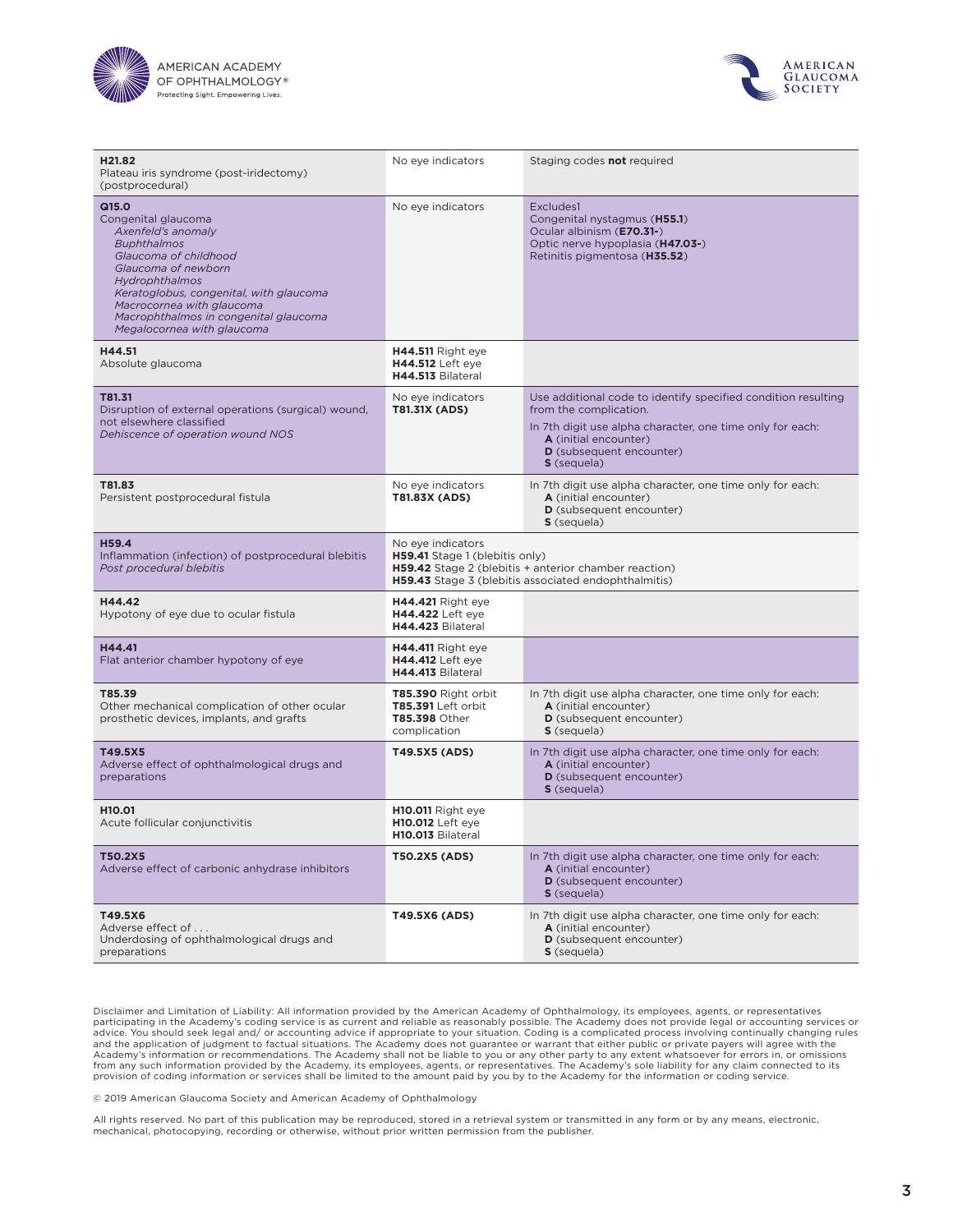



| H21.82<br>Plateau iris syndrome (post-iridectomy)<br>(postprocedural)                                                                                                                                                                                                                     | No eye indicators                                                                                                                                                    | Staging codes not required                                                                                                                                                                                               |
|-------------------------------------------------------------------------------------------------------------------------------------------------------------------------------------------------------------------------------------------------------------------------------------------|----------------------------------------------------------------------------------------------------------------------------------------------------------------------|--------------------------------------------------------------------------------------------------------------------------------------------------------------------------------------------------------------------------|
| Q15.0<br>Congenital glaucoma<br>Axenfeld's anomaly<br><b>Buphthalmos</b><br>Glaucoma of childhood<br>Glaucoma of newborn<br>Hydrophthalmos<br>Keratoglobus, congenital, with glaucoma<br>Macrocornea with glaucoma<br>Macrophthalmos in congenital glaucoma<br>Megalocornea with glaucoma | No eye indicators                                                                                                                                                    | Excludes1<br>Congenital nystagmus (H55.1)<br>Ocular albinism (E70.31-)<br>Optic nerve hypoplasia (H47.03-)<br>Retinitis pigmentosa (H35.52)                                                                              |
| H44.51<br>Absolute glaucoma                                                                                                                                                                                                                                                               | <b>H44.511</b> Right eye<br><b>H44.512</b> Left eye<br>H44.513 Bilateral                                                                                             |                                                                                                                                                                                                                          |
| T81.31<br>Disruption of external operations (surgical) wound,<br>not elsewhere classified<br>Dehiscence of operation wound NOS                                                                                                                                                            | No eye indicators<br>T81.31X (ADS)                                                                                                                                   | Use additional code to identify specified condition resulting<br>from the complication.<br>In 7th digit use alpha character, one time only for each:<br>A (initial encounter)<br>D (subsequent encounter)<br>S (sequela) |
| T81.83<br>Persistent postprocedural fistula                                                                                                                                                                                                                                               | No eye indicators<br>T81.83X (ADS)                                                                                                                                   | In 7th digit use alpha character, one time only for each:<br>A (initial encounter)<br>D (subsequent encounter)<br>S (sequela)                                                                                            |
| H59.4<br>Inflammation (infection) of postprocedural blebitis<br>Post procedural blebitis                                                                                                                                                                                                  | No eye indicators<br>H59.41 Stage 1 (blebitis only)<br>H59.42 Stage 2 (blebitis + anterior chamber reaction)<br>H59.43 Stage 3 (blebitis associated endophthalmitis) |                                                                                                                                                                                                                          |
| H44.42<br>Hypotony of eye due to ocular fistula                                                                                                                                                                                                                                           | <b>H44.421</b> Right eye<br><b>H44.422</b> Left eye<br>H44.423 Bilateral                                                                                             |                                                                                                                                                                                                                          |
| H44.41<br>Flat anterior chamber hypotony of eye                                                                                                                                                                                                                                           | <b>H44.411</b> Right eye<br><b>H44.412</b> Left eye<br>H44.413 Bilateral                                                                                             |                                                                                                                                                                                                                          |
| T85.39<br>Other mechanical complication of other ocular<br>prosthetic devices, implants, and grafts                                                                                                                                                                                       | <b>T85.390 Right orbit</b><br>T85.391 Left orbit<br>T85.398 Other<br>complication                                                                                    | In 7th digit use alpha character, one time only for each:<br>A (initial encounter)<br>D (subsequent encounter)<br>S (sequela)                                                                                            |
| T49.5X5<br>Adverse effect of ophthalmological drugs and<br>preparations                                                                                                                                                                                                                   | T49.5X5 (ADS)                                                                                                                                                        | In 7th digit use alpha character, one time only for each:<br>A (initial encounter)<br>D (subsequent encounter)<br>S (sequela)                                                                                            |
| H <sub>10</sub> .01<br>Acute follicular conjunctivitis                                                                                                                                                                                                                                    | H10.011 Right eye<br><b>H10.012</b> Left eve<br>H10.013 Bilateral                                                                                                    |                                                                                                                                                                                                                          |
| T50.2X5<br>Adverse effect of carbonic anhydrase inhibitors                                                                                                                                                                                                                                | T50.2X5 (ADS)                                                                                                                                                        | In 7th digit use alpha character, one time only for each:<br>A (initial encounter)<br>D (subsequent encounter)<br>S (sequela)                                                                                            |
| T49.5X6<br>Adverse effect of<br>Underdosing of ophthalmological drugs and<br>preparations                                                                                                                                                                                                 | T49.5X6 (ADS)                                                                                                                                                        | In 7th digit use alpha character, one time only for each:<br>A (initial encounter)<br>D (subsequent encounter)<br>S (sequela)                                                                                            |

Disclaimer and Limitation of Liability: All information provided by the American Academy of Ophthalmology, its employees, agents, or representatives<br>participating in the Academy's coding service is as current and reliable advice. You should seek legal and/ or accounting advice if appropriate to your situation. Coding is a complicated process involving continually changing rules<br>and the application of judgment to factual situations. The Acad

© 2019 American Glaucoma Society and American Academy of Ophthalmology

All rights reserved. No part of this publication may be reproduced, stored in a retrieval system or transmitted in any form or by any means, electronic, mechanical, photocopying, recording or otherwise, without prior written permission from the publisher.